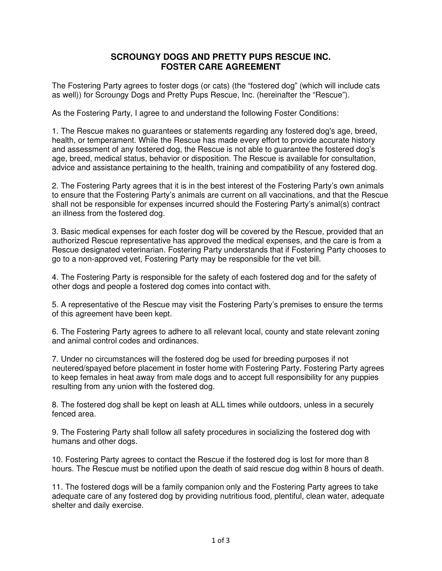## **SCROUNGY DOGS AND PRETTY PUPS RESCUE INC. FOSTER CARE AGREEMENT**

The Fostering Party agrees to foster dogs (or cats) (the "fostered dog" (which will include cats as well)) for Scroungy Dogs and Pretty Pups Rescue, Inc. (hereinafter the "Rescue").

As the Fostering Party, I agree to and understand the following Foster Conditions:

1. The Rescue makes no guarantees or statements regarding any fostered dog's age, breed, health, or temperament. While the Rescue has made every effort to provide accurate history and assessment of any fostered dog, the Rescue is not able to guarantee the fostered dog's age, breed, medical status, behavior or disposition. The Rescue is available for consultation, advice and assistance pertaining to the health, training and compatibility of any fostered dog.

2. The Fostering Party agrees that it is in the best interest of the Fostering Party's own animals to ensure that the Fostering Party's animals are current on all vaccinations, and that the Rescue shall not be responsible for expenses incurred should the Fostering Party's animal(s) contract an illness from the fostered dog.

3. Basic medical expenses for each foster dog will be covered by the Rescue, provided that an authorized Rescue representative has approved the medical expenses, and the care is from a Rescue designated veterinarian. Fostering Party understands that if Fostering Party chooses to go to a non-approved vet, Fostering Party may be responsible for the vet bill.

4. The Fostering Party is responsible for the safety of each fostered dog and for the safety of other dogs and people a fostered dog comes into contact with.

5. A representative of the Rescue may visit the Fostering Party's premises to ensure the terms of this agreement have been kept.

6. The Fostering Party agrees to adhere to all relevant local, county and state relevant zoning and animal control codes and ordinances.

7. Under no circumstances will the fostered dog be used for breeding purposes if not neutered/spayed before placement in foster home with Fostering Party. Fostering Party agrees to keep females in heat away from male dogs and to accept full responsibility for any puppies resulting from any union with the fostered dog.

8. The fostered dog shall be kept on leash at ALL times while outdoors, unless in a securely fenced area.

9. The Fostering Party shall follow all safety procedures in socializing the fostered dog with humans and other dogs.

10. Fostering Party agrees to contact the Rescue if the fostered dog is lost for more than 8 hours. The Rescue must be notified upon the death of said rescue dog within 8 hours of death.

11. The fostered dogs will be a family companion only and the Fostering Party agrees to take adequate care of any fostered dog by providing nutritious food, plentiful, clean water, adequate shelter and daily exercise.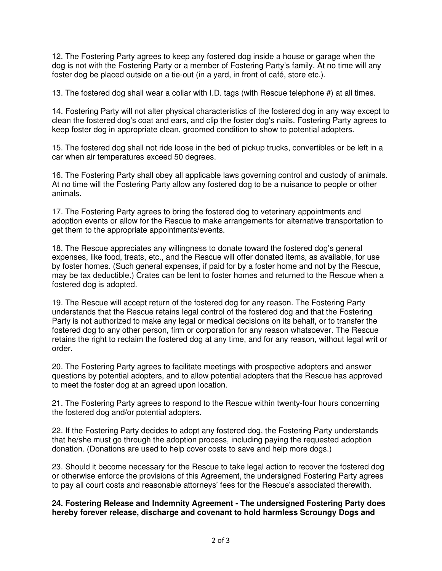12. The Fostering Party agrees to keep any fostered dog inside a house or garage when the dog is not with the Fostering Party or a member of Fostering Party's family. At no time will any foster dog be placed outside on a tie-out (in a yard, in front of café, store etc.).

13. The fostered dog shall wear a collar with I.D. tags (with Rescue telephone #) at all times.

14. Fostering Party will not alter physical characteristics of the fostered dog in any way except to clean the fostered dog's coat and ears, and clip the foster dog's nails. Fostering Party agrees to keep foster dog in appropriate clean, groomed condition to show to potential adopters.

15. The fostered dog shall not ride loose in the bed of pickup trucks, convertibles or be left in a car when air temperatures exceed 50 degrees.

16. The Fostering Party shall obey all applicable laws governing control and custody of animals. At no time will the Fostering Party allow any fostered dog to be a nuisance to people or other animals.

17. The Fostering Party agrees to bring the fostered dog to veterinary appointments and adoption events or allow for the Rescue to make arrangements for alternative transportation to get them to the appropriate appointments/events.

18. The Rescue appreciates any willingness to donate toward the fostered dog's general expenses, like food, treats, etc., and the Rescue will offer donated items, as available, for use by foster homes. (Such general expenses, if paid for by a foster home and not by the Rescue, may be tax deductible.) Crates can be lent to foster homes and returned to the Rescue when a fostered dog is adopted.

19. The Rescue will accept return of the fostered dog for any reason. The Fostering Party understands that the Rescue retains legal control of the fostered dog and that the Fostering Party is not authorized to make any legal or medical decisions on its behalf, or to transfer the fostered dog to any other person, firm or corporation for any reason whatsoever. The Rescue retains the right to reclaim the fostered dog at any time, and for any reason, without legal writ or order.

20. The Fostering Party agrees to facilitate meetings with prospective adopters and answer questions by potential adopters, and to allow potential adopters that the Rescue has approved to meet the foster dog at an agreed upon location.

21. The Fostering Party agrees to respond to the Rescue within twenty-four hours concerning the fostered dog and/or potential adopters.

22. If the Fostering Party decides to adopt any fostered dog, the Fostering Party understands that he/she must go through the adoption process, including paying the requested adoption donation. (Donations are used to help cover costs to save and help more dogs.)

23. Should it become necessary for the Rescue to take legal action to recover the fostered dog or otherwise enforce the provisions of this Agreement, the undersigned Fostering Party agrees to pay all court costs and reasonable attorneys' fees for the Rescue's associated therewith.

**24. Fostering Release and Indemnity Agreement - The undersigned Fostering Party does hereby forever release, discharge and covenant to hold harmless Scroungy Dogs and**